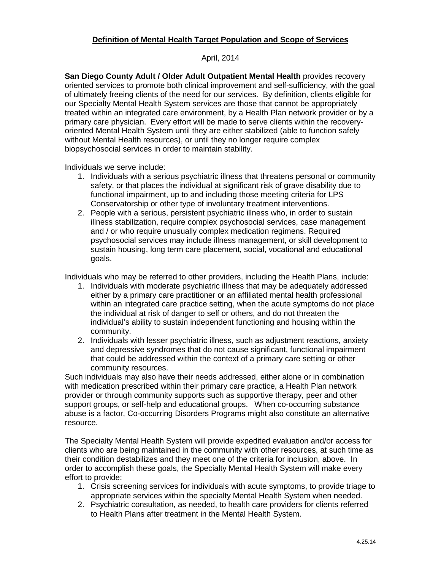## **Definition of Mental Health Target Population and Scope of Services**

## April, 2014

**San Diego County Adult / Older Adult Outpatient Mental Health** provides recovery oriented services to promote both clinical improvement and self-sufficiency, with the goal of ultimately freeing clients of the need for our services. By definition, clients eligible for our Specialty Mental Health System services are those that cannot be appropriately treated within an integrated care environment, by a Health Plan network provider or by a primary care physician. Every effort will be made to serve clients within the recoveryoriented Mental Health System until they are either stabilized (able to function safely without Mental Health resources), or until they no longer require complex biopsychosocial services in order to maintain stability.

Individuals we serve include:

- 1. Individuals with a serious psychiatric illness that threatens personal or community safety, or that places the individual at significant risk of grave disability due to functional impairment, up to and including those meeting criteria for LPS Conservatorship or other type of involuntary treatment interventions.
- 2. People with a serious, persistent psychiatric illness who, in order to sustain illness stabilization, require complex psychosocial services, case management and / or who require unusually complex medication regimens. Required psychosocial services may include illness management, or skill development to sustain housing, long term care placement, social, vocational and educational goals.

Individuals who may be referred to other providers, including the Health Plans, include:

- 1. Individuals with moderate psychiatric illness that may be adequately addressed either by a primary care practitioner or an affiliated mental health professional within an integrated care practice setting, when the acute symptoms do not place the individual at risk of danger to self or others, and do not threaten the individual's ability to sustain independent functioning and housing within the community.
- 2. Individuals with lesser psychiatric illness, such as adjustment reactions, anxiety and depressive syndromes that do not cause significant, functional impairment that could be addressed within the context of a primary care setting or other community resources.

Such individuals may also have their needs addressed, either alone or in combination with medication prescribed within their primary care practice, a Health Plan network provider or through community supports such as supportive therapy, peer and other support groups, or self-help and educational groups. When co-occurring substance abuse is a factor, Co-occurring Disorders Programs might also constitute an alternative resource.

The Specialty Mental Health System will provide expedited evaluation and/or access for clients who are being maintained in the community with other resources, at such time as their condition destabilizes and they meet one of the criteria for inclusion, above. In order to accomplish these goals, the Specialty Mental Health System will make every effort to provide:

- 1. Crisis screening services for individuals with acute symptoms, to provide triage to appropriate services within the specialty Mental Health System when needed.
- 2. Psychiatric consultation, as needed, to health care providers for clients referred to Health Plans after treatment in the Mental Health System.